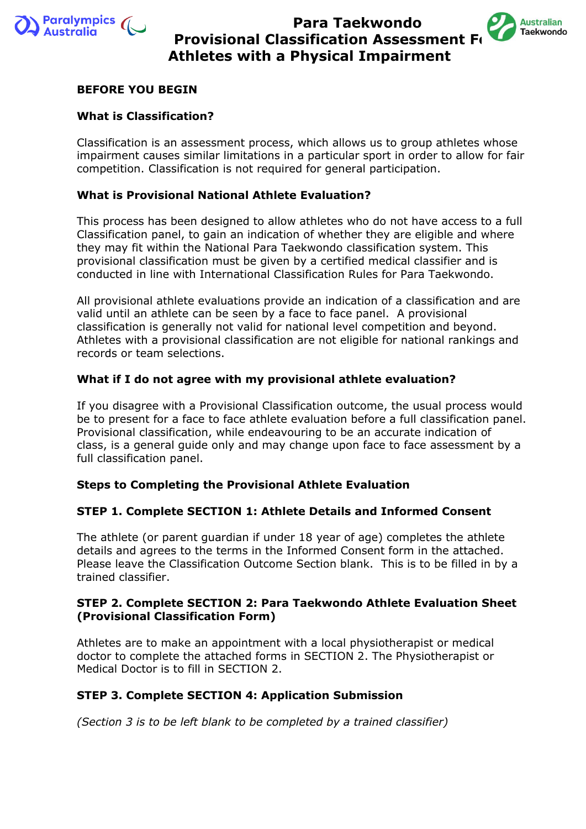



### **BEFORE YOU BEGIN**

#### **What is Classification?**

Classification is an assessment process, which allows us to group athletes whose impairment causes similar limitations in a particular sport in order to allow for fair competition. Classification is not required for general participation.

### **What is Provisional National Athlete Evaluation?**

This process has been designed to allow athletes who do not have access to a full Classification panel, to gain an indication of whether they are eligible and where they may fit within the National Para Taekwondo classification system. This provisional classification must be given by a certified medical classifier and is conducted in line with International Classification Rules for Para Taekwondo.

All provisional athlete evaluations provide an indication of a classification and are valid until an athlete can be seen by a face to face panel. A provisional classification is generally not valid for national level competition and beyond. Athletes with a provisional classification are not eligible for national rankings and records or team selections.

### **What if I do not agree with my provisional athlete evaluation?**

If you disagree with a Provisional Classification outcome, the usual process would be to present for a face to face athlete evaluation before a full classification panel. Provisional classification, while endeavouring to be an accurate indication of class, is a general guide only and may change upon face to face assessment by a full classification panel.

#### **Steps to Completing the Provisional Athlete Evaluation**

#### **STEP 1. Complete SECTION 1: Athlete Details and Informed Consent**

The athlete (or parent guardian if under 18 year of age) completes the athlete details and agrees to the terms in the Informed Consent form in the attached. Please leave the Classification Outcome Section blank. This is to be filled in by a trained classifier.

#### **STEP 2. Complete SECTION 2: Para Taekwondo Athlete Evaluation Sheet (Provisional Classification Form)**

Athletes are to make an appointment with a local physiotherapist or medical doctor to complete the attached forms in SECTION 2. The Physiotherapist or Medical Doctor is to fill in SECTION 2.

#### **STEP 3. Complete SECTION 4: Application Submission**

*(Section 3 is to be left blank to be completed by a trained classifier)*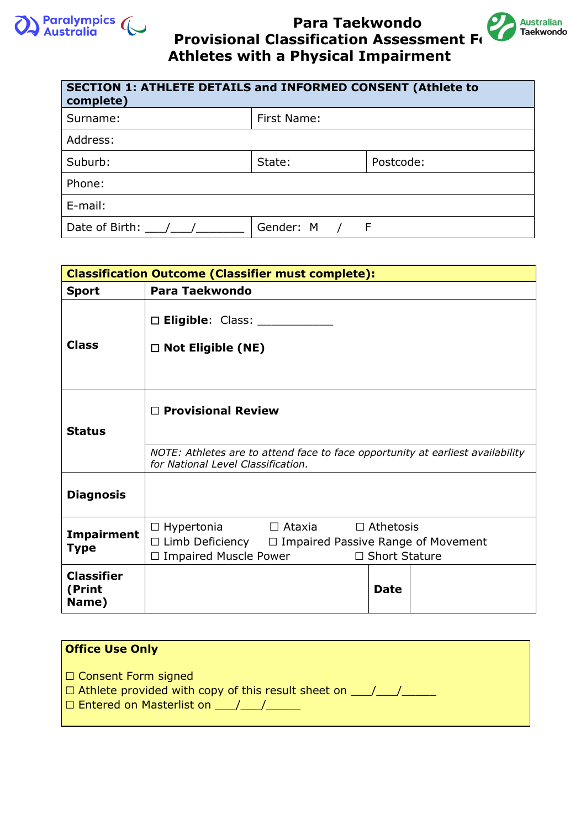



| <b>SECTION 1: ATHLETE DETAILS and INFORMED CONSENT (Athlete to</b><br>complete) |             |           |
|---------------------------------------------------------------------------------|-------------|-----------|
| Surname:                                                                        | First Name: |           |
| Address:                                                                        |             |           |
| Suburb:                                                                         | State:      | Postcode: |
| Phone:                                                                          |             |           |
| E-mail:                                                                         |             |           |
| Date of Birth: $/$ /                                                            | Gender: M   | F         |

|                                      | <b>Classification Outcome (Classifier must complete):</b>                                                                                                                     |  |  |  |  |
|--------------------------------------|-------------------------------------------------------------------------------------------------------------------------------------------------------------------------------|--|--|--|--|
| <b>Sport</b>                         | <b>Para Taekwondo</b>                                                                                                                                                         |  |  |  |  |
| <b>Class</b>                         | $\square$ Eligible: Class: $\_\_$                                                                                                                                             |  |  |  |  |
|                                      | $\Box$ Not Eligible (NE)                                                                                                                                                      |  |  |  |  |
| <b>Status</b>                        | $\Box$ Provisional Review                                                                                                                                                     |  |  |  |  |
|                                      | NOTE: Athletes are to attend face to face opportunity at earliest availability<br>for National Level Classification.                                                          |  |  |  |  |
| <b>Diagnosis</b>                     |                                                                                                                                                                               |  |  |  |  |
| <b>Impairment</b><br><b>Type</b>     | $\Box$ Ataxia<br>$\Box$ Athetosis<br>$\Box$ Hypertonia<br>$\Box$ Limb Deficiency $\Box$ Impaired Passive Range of Movement<br>□ Impaired Muscle Power<br>$\Box$ Short Stature |  |  |  |  |
| <b>Classifier</b><br>(Print<br>Name) | <b>Date</b>                                                                                                                                                                   |  |  |  |  |

| <b>Office Use Only</b>                                                                                                                                     |  |
|------------------------------------------------------------------------------------------------------------------------------------------------------------|--|
| $\Box$ Consent Form signed<br>$\Box$ Athlete provided with copy of this result sheet on $\Box$ / $\Box$<br>$\Box$ Entered on Masterlist on $\Box$ / $\Box$ |  |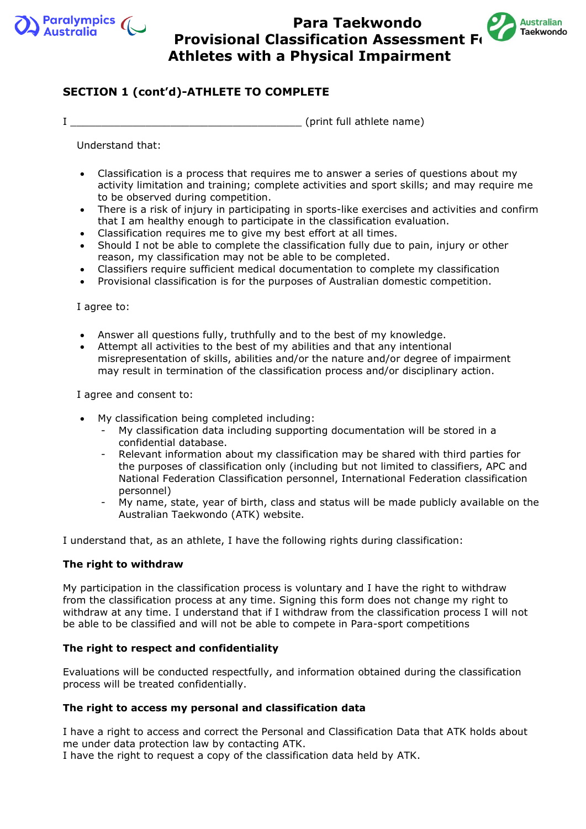



## **SECTION 1 (cont'd)-ATHLETE TO COMPLETE**

I \_\_\_\_\_\_\_\_\_\_\_\_\_\_\_\_\_\_\_\_\_\_\_\_\_\_\_\_\_\_\_\_\_\_\_\_\_ (print full athlete name)

Understand that:

- Classification is a process that requires me to answer a series of questions about my activity limitation and training; complete activities and sport skills; and may require me to be observed during competition.
- There is a risk of injury in participating in sports-like exercises and activities and confirm that I am healthy enough to participate in the classification evaluation.
- Classification requires me to give my best effort at all times.
- Should I not be able to complete the classification fully due to pain, injury or other reason, my classification may not be able to be completed.
- Classifiers require sufficient medical documentation to complete my classification
- Provisional classification is for the purposes of Australian domestic competition.

I agree to:

- Answer all questions fully, truthfully and to the best of my knowledge.
- Attempt all activities to the best of my abilities and that any intentional misrepresentation of skills, abilities and/or the nature and/or degree of impairment may result in termination of the classification process and/or disciplinary action.

I agree and consent to:

- My classification being completed including:
	- My classification data including supporting documentation will be stored in a confidential database.
	- Relevant information about my classification may be shared with third parties for the purposes of classification only (including but not limited to classifiers, APC and National Federation Classification personnel, International Federation classification personnel)
	- My name, state, year of birth, class and status will be made publicly available on the Australian Taekwondo (ATK) website.

I understand that, as an athlete, I have the following rights during classification:

#### **The right to withdraw**

My participation in the classification process is voluntary and I have the right to withdraw from the classification process at any time. Signing this form does not change my right to withdraw at any time. I understand that if I withdraw from the classification process I will not be able to be classified and will not be able to compete in Para-sport competitions

#### **The right to respect and confidentiality**

Evaluations will be conducted respectfully, and information obtained during the classification process will be treated confidentially.

#### **The right to access my personal and classification data**

I have a right to access and correct the Personal and Classification Data that ATK holds about me under data protection law by contacting ATK.

I have the right to request a copy of the classification data held by ATK.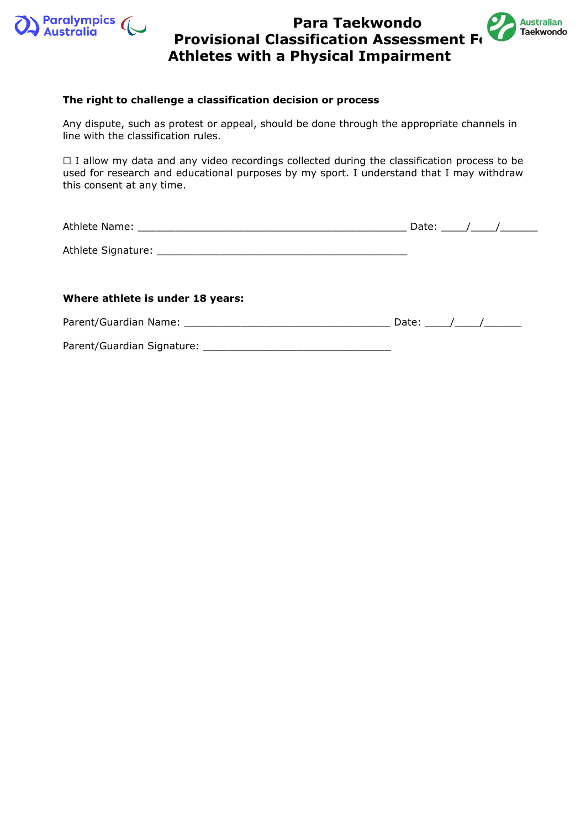



#### **The right to challenge a classification decision or process**

Any dispute, such as protest or appeal, should be done through the appropriate channels in line with the classification rules.

□ I allow my data and any video recordings collected during the classification process to be used for research and educational purposes by my sport. I understand that I may withdraw this consent at any time.

|                                  | Date: $\frac{\sqrt{2}}{2}$ |  |
|----------------------------------|----------------------------|--|
|                                  |                            |  |
| Where athlete is under 18 years: |                            |  |
|                                  |                            |  |
|                                  |                            |  |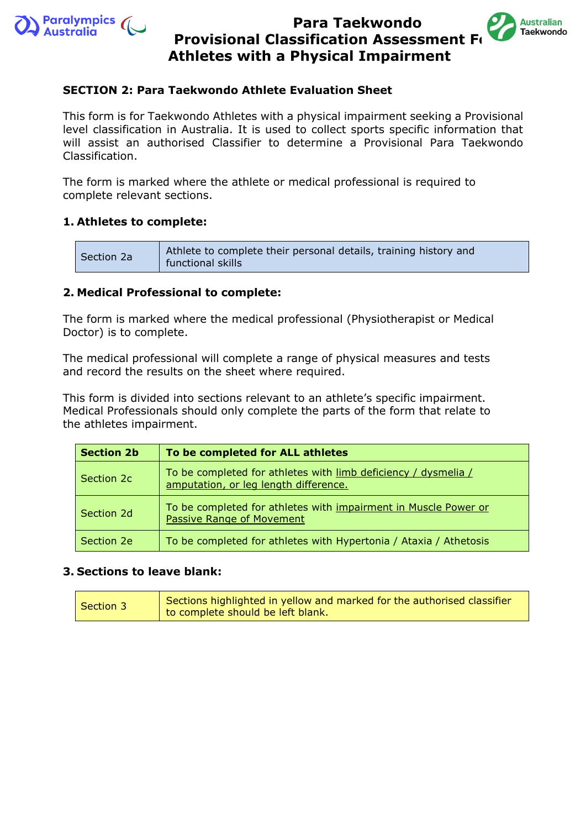



## **SECTION 2: Para Taekwondo Athlete Evaluation Sheet**

This form is for Taekwondo Athletes with a physical impairment seeking a Provisional level classification in Australia. It is used to collect sports specific information that will assist an authorised Classifier to determine a Provisional Para Taekwondo Classification.

The form is marked where the athlete or medical professional is required to complete relevant sections.

## **1. Athletes to complete:**

| Section 2a | Athlete to complete their personal details, training history and<br>functional skills |
|------------|---------------------------------------------------------------------------------------|
|------------|---------------------------------------------------------------------------------------|

## **2. Medical Professional to complete:**

The form is marked where the medical professional (Physiotherapist or Medical Doctor) is to complete.

The medical professional will complete a range of physical measures and tests and record the results on the sheet where required.

This form is divided into sections relevant to an athlete's specific impairment. Medical Professionals should only complete the parts of the form that relate to the athletes impairment.

| <b>Section 2b</b> | To be completed for ALL athletes                                                                        |
|-------------------|---------------------------------------------------------------------------------------------------------|
| Section 2c        | To be completed for athletes with limb deficiency / dysmelia /<br>amputation, or leg length difference. |
| Section 2d        | To be completed for athletes with impairment in Muscle Power or<br><b>Passive Range of Movement</b>     |
| Section 2e        | To be completed for athletes with Hypertonia / Ataxia / Athetosis                                       |

## **3. Sections to leave blank:**

| Sections highlighted in yellow and marked for the authorised classifier<br>Section 3<br>to complete should be left blank. |
|---------------------------------------------------------------------------------------------------------------------------|
|---------------------------------------------------------------------------------------------------------------------------|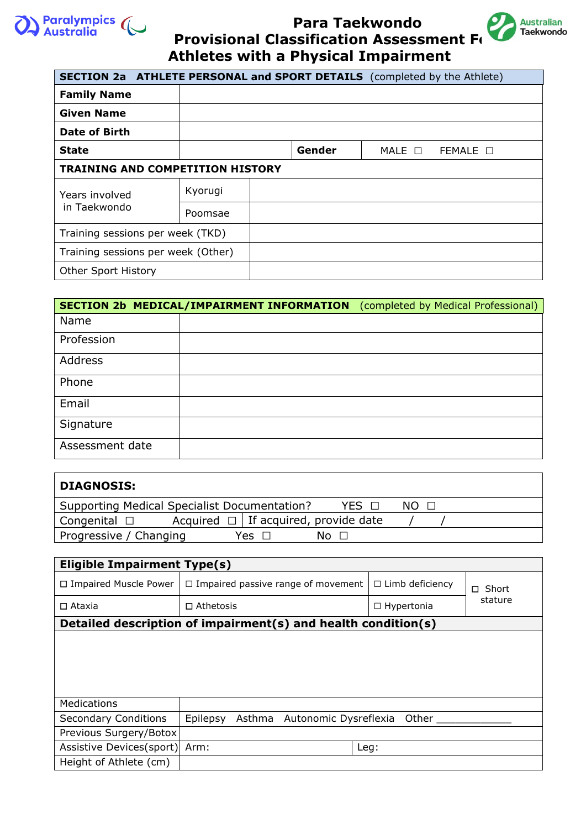



| <b>SECTION 2a ATHLETE PERSONAL and SPORT DETAILS</b> (completed by the Athlete) |         |  |        |                  |                  |
|---------------------------------------------------------------------------------|---------|--|--------|------------------|------------------|
| <b>Family Name</b>                                                              |         |  |        |                  |                  |
| <b>Given Name</b>                                                               |         |  |        |                  |                  |
| <b>Date of Birth</b>                                                            |         |  |        |                  |                  |
| State                                                                           |         |  | Gender | $MALE$ $\square$ | FEMALE $\square$ |
| <b>TRAINING AND COMPETITION HISTORY</b>                                         |         |  |        |                  |                  |
| Years involved                                                                  | Kyorugi |  |        |                  |                  |
| in Taekwondo                                                                    | Poomsae |  |        |                  |                  |
| Training sessions per week (TKD)                                                |         |  |        |                  |                  |
| Training sessions per week (Other)                                              |         |  |        |                  |                  |
| Other Sport History                                                             |         |  |        |                  |                  |

|                 | SECTION 2b MEDICAL/IMPAIRMENT INFORMATION | (completed by Medical Professional) |
|-----------------|-------------------------------------------|-------------------------------------|
| Name            |                                           |                                     |
| Profession      |                                           |                                     |
| <b>Address</b>  |                                           |                                     |
| Phone           |                                           |                                     |
| Email           |                                           |                                     |
| Signature       |                                           |                                     |
| Assessment date |                                           |                                     |

| <b>DIAGNOSIS:</b>                            |       |                                           |      |  |  |
|----------------------------------------------|-------|-------------------------------------------|------|--|--|
| Supporting Medical Specialist Documentation? |       | YES <sub>N</sub>                          | NO O |  |  |
| Congenital $\square$                         |       | Acquired $\Box$ If acquired, provide date |      |  |  |
| Progressive / Changing                       | Yes □ | No ⊓                                      |      |  |  |

| Eligible Impairment Type(s) |                                                               |                        |             |  |  |  |
|-----------------------------|---------------------------------------------------------------|------------------------|-------------|--|--|--|
| □ Impaired Muscle Power     | $\Box$ Impaired passive range of movement                     | $\Box$ Limb deficiency | Short<br>П. |  |  |  |
| $\square$ Ataxia            | $\Box$ Athetosis                                              | $\Box$ Hypertonia      | stature     |  |  |  |
|                             | Detailed description of impairment(s) and health condition(s) |                        |             |  |  |  |
|                             |                                                               |                        |             |  |  |  |
|                             |                                                               |                        |             |  |  |  |
|                             |                                                               |                        |             |  |  |  |
|                             |                                                               |                        |             |  |  |  |
| Medications                 |                                                               |                        |             |  |  |  |
| <b>Secondary Conditions</b> | Epilepsy<br>Asthma<br>Autonomic Dysreflexia                   | Other                  |             |  |  |  |
| Previous Surgery/Botox      |                                                               |                        |             |  |  |  |
| Assistive Devices(sport)    | Arm:                                                          | Leg:                   |             |  |  |  |
| Height of Athlete (cm)      |                                                               |                        |             |  |  |  |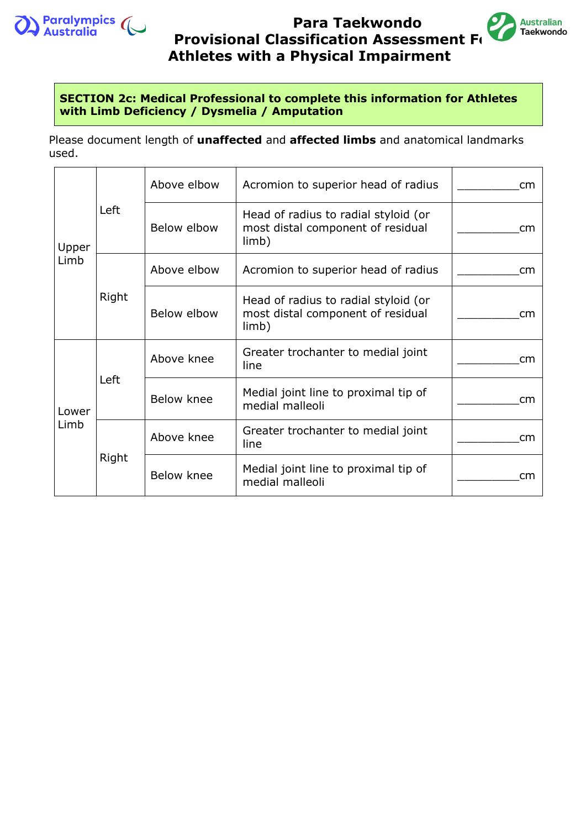



## **SECTION 2c: Medical Professional to complete this information for Athletes with Limb Deficiency / Dysmelia / Amputation**

Please document length of **unaffected** and **affected limbs** and anatomical landmarks used.

|                       |       | Above elbow | Acromion to superior head of radius                                                | cm |
|-----------------------|-------|-------------|------------------------------------------------------------------------------------|----|
| Upper<br>Limb         | Left  | Below elbow | Head of radius to radial styloid (or<br>most distal component of residual<br>limb) | cm |
|                       | Right | Above elbow | Acromion to superior head of radius                                                | cm |
|                       |       | Below elbow | Head of radius to radial styloid (or<br>most distal component of residual<br>limb) | cm |
| Left<br>Lower<br>Limb |       | Above knee  | Greater trochanter to medial joint<br>line                                         | cm |
|                       |       | Below knee  | Medial joint line to proximal tip of<br>medial malleoli                            | cm |
|                       | Right | Above knee  | Greater trochanter to medial joint<br>line                                         | cm |
|                       |       | Below knee  | Medial joint line to proximal tip of<br>medial malleoli                            | cm |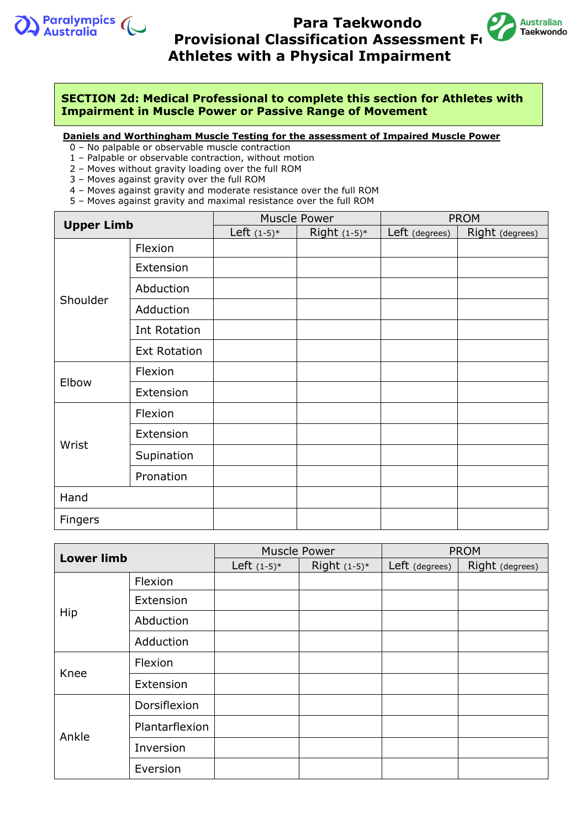



**SECTION 2d: Medical Professional to complete this section for Athletes with Impairment in Muscle Power or Passive Range of Movement**

**Daniels and Worthingham Muscle Testing for the assessment of Impaired Muscle Power**

- 0 No palpable or observable muscle contraction
- 1 Palpable or observable contraction, without motion
- 2 Moves without gravity loading over the full ROM
- 3 Moves against gravity over the full ROM
- 4 Moves against gravity and moderate resistance over the full ROM
- 5 Moves against gravity and maximal resistance over the full ROM

| <b>Upper Limb</b> |                     | <b>Muscle Power</b> |                | <b>PROM</b>    |                 |
|-------------------|---------------------|---------------------|----------------|----------------|-----------------|
|                   |                     | Left $(1-5)^*$      | Right $(1-5)*$ | Left (degrees) | Right (degrees) |
|                   | Flexion             |                     |                |                |                 |
|                   | Extension           |                     |                |                |                 |
|                   | Abduction           |                     |                |                |                 |
| Shoulder          | Adduction           |                     |                |                |                 |
|                   | Int Rotation        |                     |                |                |                 |
|                   | <b>Ext Rotation</b> |                     |                |                |                 |
| Elbow             | Flexion             |                     |                |                |                 |
|                   | Extension           |                     |                |                |                 |
|                   | Flexion             |                     |                |                |                 |
|                   | Extension           |                     |                |                |                 |
| Wrist             | Supination          |                     |                |                |                 |
|                   | Pronation           |                     |                |                |                 |
| Hand              |                     |                     |                |                |                 |
| Fingers           |                     |                     |                |                |                 |

| <b>Lower limb</b> |                | <b>Muscle Power</b> |                | <b>PROM</b>    |                 |
|-------------------|----------------|---------------------|----------------|----------------|-----------------|
|                   |                | Left $(1-5)^*$      | Right $(1-5)*$ | Left (degrees) | Right (degrees) |
| Hip               | Flexion        |                     |                |                |                 |
|                   | Extension      |                     |                |                |                 |
|                   | Abduction      |                     |                |                |                 |
|                   | Adduction      |                     |                |                |                 |
| Knee              | Flexion        |                     |                |                |                 |
|                   | Extension      |                     |                |                |                 |
|                   | Dorsiflexion   |                     |                |                |                 |
| Ankle             | Plantarflexion |                     |                |                |                 |
|                   | Inversion      |                     |                |                |                 |
|                   | Eversion       |                     |                |                |                 |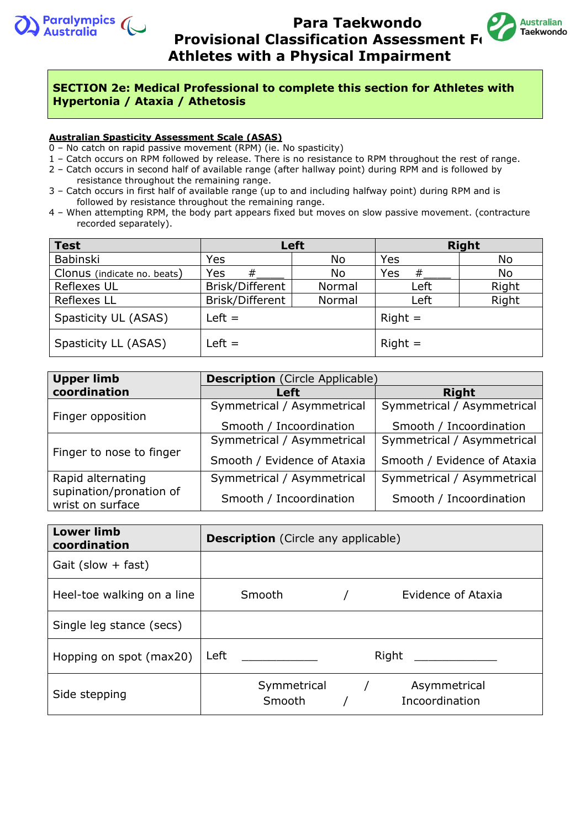



### **SECTION 2e: Medical Professional to complete this section for Athletes with Hypertonia / Ataxia / Athetosis**

#### **Australian Spasticity Assessment Scale (ASAS)**

0 – No catch on rapid passive movement (RPM) (ie. No spasticity)

- 1 Catch occurs on RPM followed by release. There is no resistance to RPM throughout the rest of range.
- 2 Catch occurs in second half of available range (after hallway point) during RPM and is followed by resistance throughout the remaining range.
- 3 Catch occurs in first half of available range (up to and including halfway point) during RPM and is followed by resistance throughout the remaining range.
- 4 When attempting RPM, the body part appears fixed but moves on slow passive movement. (contracture recorded separately).

| <b>Test</b>                 |                 | <b>Left</b> | <b>Right</b> |       |
|-----------------------------|-----------------|-------------|--------------|-------|
| Babinski                    | Yes             | No          | Yes          | No    |
| Clonus (indicate no. beats) | Yes<br>#        | No          | Yes<br>#     | No    |
| Reflexes UL                 | Brisk/Different | Normal      | Left         | Right |
| <b>Reflexes LL</b>          | Brisk/Different | Normal      | Left         | Right |
| Spasticity UL (ASAS)        | $Left =$        |             | $Right =$    |       |
| Spasticity LL (ASAS)        | $Left =$        |             | $Right =$    |       |

| <b>Upper limb</b>                           | <b>Description</b> (Circle Applicable) |                             |  |  |
|---------------------------------------------|----------------------------------------|-----------------------------|--|--|
| coordination                                | Left                                   | <b>Right</b>                |  |  |
| Finger opposition                           | Symmetrical / Asymmetrical             | Symmetrical / Asymmetrical  |  |  |
|                                             | Smooth / Incoordination                | Smooth / Incoordination     |  |  |
|                                             | Symmetrical / Asymmetrical             | Symmetrical / Asymmetrical  |  |  |
| Finger to nose to finger                    | Smooth / Evidence of Ataxia            | Smooth / Evidence of Ataxia |  |  |
| Rapid alternating                           | Symmetrical / Asymmetrical             | Symmetrical / Asymmetrical  |  |  |
| supination/pronation of<br>wrist on surface | Smooth / Incoordination                | Smooth / Incoordination     |  |  |

| <b>Lower limb</b><br>coordination | <b>Description</b> (Circle any applicable)                                                                                                                                                                                                   |  |  |  |
|-----------------------------------|----------------------------------------------------------------------------------------------------------------------------------------------------------------------------------------------------------------------------------------------|--|--|--|
| Gait (slow $+$ fast)              |                                                                                                                                                                                                                                              |  |  |  |
| Heel-toe walking on a line        | Smooth<br>Evidence of Ataxia                                                                                                                                                                                                                 |  |  |  |
| Single leg stance (secs)          |                                                                                                                                                                                                                                              |  |  |  |
| Hopping on spot (max20)           | Right<br><b>Left</b> the control of the control of the control of the control of the control of the control of the control of the control of the control of the control of the control of the control of the control of the control of the c |  |  |  |
| Side stepping                     | Symmetrical /<br>Asymmetrical<br>Incoordination<br>Smooth                                                                                                                                                                                    |  |  |  |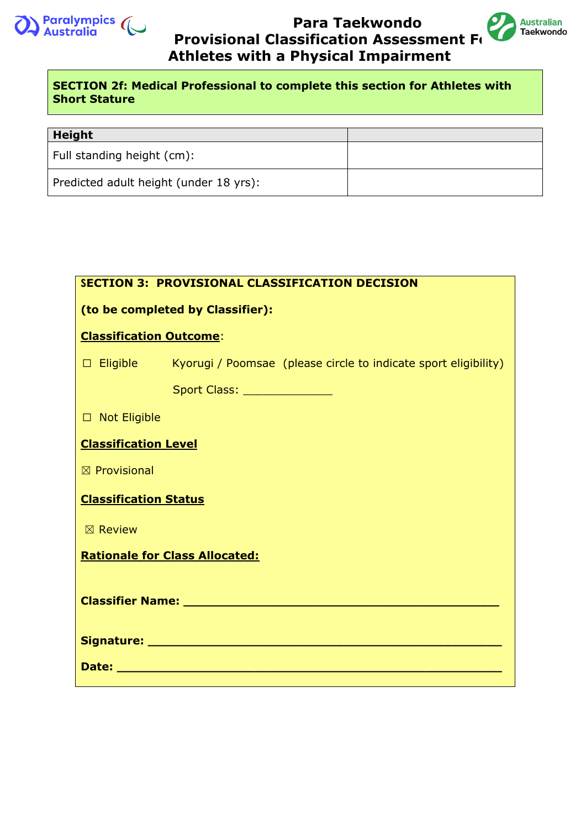



## **SECTION 2f: Medical Professional to complete this section for Athletes with Short Stature**

| <b>Height</b>                          |  |
|----------------------------------------|--|
| Full standing height (cm):             |  |
| Predicted adult height (under 18 yrs): |  |

|                                                                                                                | <b>SECTION 3: PROVISIONAL CLASSIFICATION DECISION</b>                           |  |  |  |
|----------------------------------------------------------------------------------------------------------------|---------------------------------------------------------------------------------|--|--|--|
| (to be completed by Classifier):                                                                               |                                                                                 |  |  |  |
|                                                                                                                | <b>Classification Outcome:</b>                                                  |  |  |  |
|                                                                                                                | $\Box$ Eligible Kyorugi / Poomsae (please circle to indicate sport eligibility) |  |  |  |
|                                                                                                                | Sport Class: ______________                                                     |  |  |  |
| □ Not Eligible                                                                                                 |                                                                                 |  |  |  |
| <b>Classification Level</b>                                                                                    |                                                                                 |  |  |  |
| $\boxtimes$ Provisional                                                                                        |                                                                                 |  |  |  |
| <b>Classification Status</b>                                                                                   |                                                                                 |  |  |  |
| $\boxtimes$ Review                                                                                             |                                                                                 |  |  |  |
| <b>Rationale for Class Allocated:</b>                                                                          |                                                                                 |  |  |  |
|                                                                                                                |                                                                                 |  |  |  |
|                                                                                                                |                                                                                 |  |  |  |
| Date: with the contract of the contract of the contract of the contract of the contract of the contract of the |                                                                                 |  |  |  |